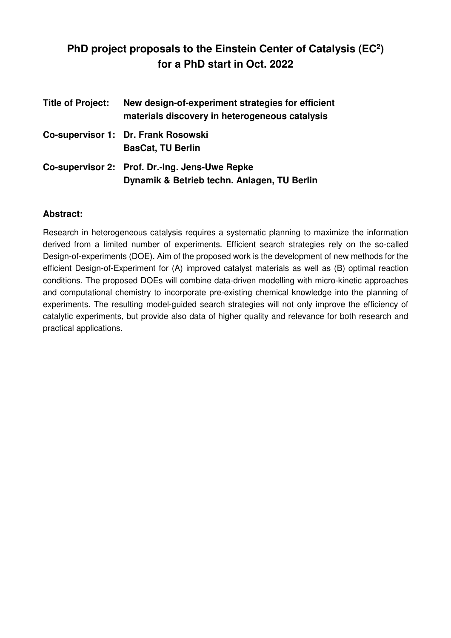# **PhD project proposals to the Einstein Center of Catalysis (EC<sup>2</sup> ) for a PhD start in Oct. 2022**

| <b>Title of Project:</b> | New design-of-experiment strategies for efficient<br>materials discovery in heterogeneous catalysis |
|--------------------------|-----------------------------------------------------------------------------------------------------|
|                          | Co-supervisor 1: Dr. Frank Rosowski<br><b>BasCat, TU Berlin</b>                                     |
|                          | Co-supervisor 2: Prof. Dr.-Ing. Jens-Uwe Repke<br>Dynamik & Betrieb techn. Anlagen, TU Berlin       |

### **Abstract:**

Research in heterogeneous catalysis requires a systematic planning to maximize the information derived from a limited number of experiments. Efficient search strategies rely on the so-called Design-of-experiments (DOE). Aim of the proposed work is the development of new methods for the efficient Design-of-Experiment for (A) improved catalyst materials as well as (B) optimal reaction conditions. The proposed DOEs will combine data-driven modelling with micro-kinetic approaches and computational chemistry to incorporate pre-existing chemical knowledge into the planning of experiments. The resulting model-guided search strategies will not only improve the efficiency of catalytic experiments, but provide also data of higher quality and relevance for both research and practical applications.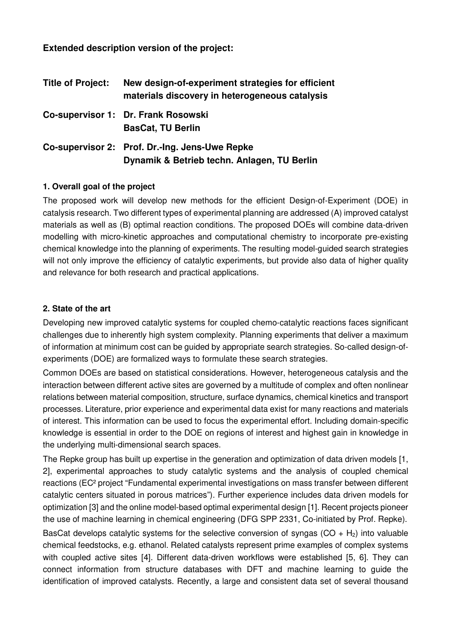**Extended description version of the project:** 

| <b>Title of Project:</b> | New design-of-experiment strategies for efficient<br>materials discovery in heterogeneous catalysis |
|--------------------------|-----------------------------------------------------------------------------------------------------|
|                          | Co-supervisor 1: Dr. Frank Rosowski<br><b>BasCat, TU Berlin</b>                                     |
|                          | Co-supervisor 2: Prof. Dr.-Ing. Jens-Uwe Repke<br>Dynamik & Betrieb techn. Anlagen, TU Berlin       |

### **1. Overall goal of the project**

The proposed work will develop new methods for the efficient Design-of-Experiment (DOE) in catalysis research. Two different types of experimental planning are addressed (A) improved catalyst materials as well as (B) optimal reaction conditions. The proposed DOEs will combine data-driven modelling with micro-kinetic approaches and computational chemistry to incorporate pre-existing chemical knowledge into the planning of experiments. The resulting model-guided search strategies will not only improve the efficiency of catalytic experiments, but provide also data of higher quality and relevance for both research and practical applications.

### **2. State of the art**

Developing new improved catalytic systems for coupled chemo-catalytic reactions faces significant challenges due to inherently high system complexity. Planning experiments that deliver a maximum of information at minimum cost can be guided by appropriate search strategies. So-called design-ofexperiments (DOE) are formalized ways to formulate these search strategies.

Common DOEs are based on statistical considerations. However, heterogeneous catalysis and the interaction between different active sites are governed by a multitude of complex and often nonlinear relations between material composition, structure, surface dynamics, chemical kinetics and transport processes. Literature, prior experience and experimental data exist for many reactions and materials of interest. This information can be used to focus the experimental effort. Including domain-specific knowledge is essential in order to the DOE on regions of interest and highest gain in knowledge in the underlying multi-dimensional search spaces.

The Repke group has built up expertise in the generation and optimization of data driven models [1, 2], experimental approaches to study catalytic systems and the analysis of coupled chemical reactions (EC² project "Fundamental experimental investigations on mass transfer between different catalytic centers situated in porous matrices"). Further experience includes data driven models for optimization [3] and the online model-based optimal experimental design [1]. Recent projects pioneer the use of machine learning in chemical engineering (DFG SPP 2331, Co-initiated by Prof. Repke).

BasCat develops catalytic systems for the selective conversion of syngas ( $CO + H<sub>2</sub>$ ) into valuable chemical feedstocks, e.g. ethanol. Related catalysts represent prime examples of complex systems with coupled active sites [4]. Different data-driven workflows were established [5, 6]. They can connect information from structure databases with DFT and machine learning to guide the identification of improved catalysts. Recently, a large and consistent data set of several thousand